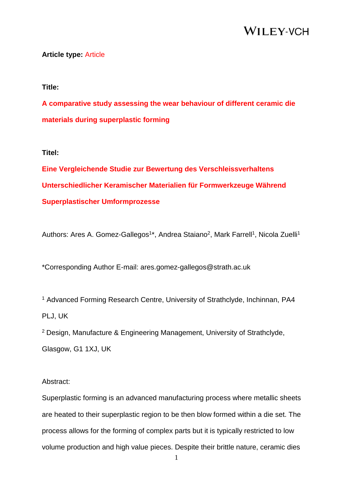### **Article type:** Article

### **Title:**

**A comparative study assessing the wear behaviour of different ceramic die materials during superplastic forming**

### **Titel:**

**Eine Vergleichende Studie zur Bewertung des Verschleissverhaltens Unterschiedlicher Keramischer Materialien für Formwerkzeuge Während Superplastischer Umformprozesse**

Authors: Ares A. Gomez-Gallegos<sup>1\*</sup>, Andrea Staiano<sup>2</sup>, Mark Farrell<sup>1</sup>, Nicola Zuelli<sup>1</sup>

\*Corresponding Author E-mail: ares.gomez-gallegos@strath.ac.uk

<sup>1</sup> Advanced Forming Research Centre, University of Strathclyde, Inchinnan, PA4 PLJ, UK

<sup>2</sup> Design, Manufacture & Engineering Management, University of Strathclyde,

Glasgow, G1 1XJ, UK

### Abstract:

Superplastic forming is an advanced manufacturing process where metallic sheets are heated to their superplastic region to be then blow formed within a die set. The process allows for the forming of complex parts but it is typically restricted to low volume production and high value pieces. Despite their brittle nature, ceramic dies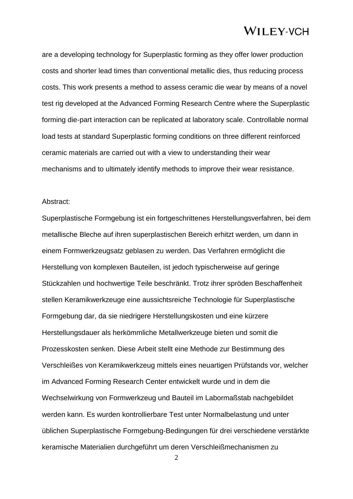are a developing technology for Superplastic forming as they offer lower production costs and shorter lead times than conventional metallic dies, thus reducing process costs. This work presents a method to assess ceramic die wear by means of a novel test rig developed at the Advanced Forming Research Centre where the Superplastic forming die-part interaction can be replicated at laboratory scale. Controllable normal load tests at standard Superplastic forming conditions on three different reinforced ceramic materials are carried out with a view to understanding their wear mechanisms and to ultimately identify methods to improve their wear resistance.

### Abstract:

Superplastische Formgebung ist ein fortgeschrittenes Herstellungsverfahren, bei dem metallische Bleche auf ihren superplastischen Bereich erhitzt werden, um dann in einem Formwerkzeugsatz geblasen zu werden. Das Verfahren ermöglicht die Herstellung von komplexen Bauteilen, ist jedoch typischerweise auf geringe Stückzahlen und hochwertige Teile beschränkt. Trotz ihrer spröden Beschaffenheit stellen Keramikwerkzeuge eine aussichtsreiche Technologie für Superplastische Formgebung dar, da sie niedrigere Herstellungskosten und eine kürzere Herstellungsdauer als herkömmliche Metallwerkzeuge bieten und somit die Prozesskosten senken. Diese Arbeit stellt eine Methode zur Bestimmung des Verschleißes von Keramikwerkzeug mittels eines neuartigen Prüfstands vor, welcher im Advanced Forming Research Center entwickelt wurde und in dem die Wechselwirkung von Formwerkzeug und Bauteil im Labormaßstab nachgebildet werden kann. Es wurden kontrollierbare Test unter Normalbelastung und unter üblichen Superplastische Formgebung-Bedingungen für drei verschiedene verstärkte keramische Materialien durchgeführt um deren Verschleißmechanismen zu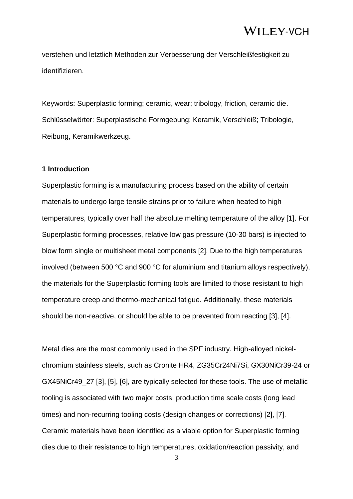verstehen und letztlich Methoden zur Verbesserung der Verschleißfestigkeit zu identifizieren.

Keywords: Superplastic forming; ceramic, wear; tribology, friction, ceramic die. Schlüsselwörter: Superplastische Formgebung; Keramik, Verschleiß; Tribologie, Reibung, Keramikwerkzeug.

### **1 Introduction**

Superplastic forming is a manufacturing process based on the ability of certain materials to undergo large tensile strains prior to failure when heated to high temperatures, typically over half the absolute melting temperature of the alloy [1]. For Superplastic forming processes, relative low gas pressure (10-30 bars) is injected to blow form single or multisheet metal components [2]. Due to the high temperatures involved (between 500 °C and 900 °C for aluminium and titanium alloys respectively), the materials for the Superplastic forming tools are limited to those resistant to high temperature creep and thermo-mechanical fatigue. Additionally, these materials should be non-reactive, or should be able to be prevented from reacting [3], [4].

Metal dies are the most commonly used in the SPF industry. High-alloyed nickelchromium stainless steels, such as Cronite HR4, ZG35Cr24Ni7Si, GX30NiCr39-24 or GX45NiCr49\_27 [3], [5], [6], are typically selected for these tools. The use of metallic tooling is associated with two major costs: production time scale costs (long lead times) and non-recurring tooling costs (design changes or corrections) [2], [7]. Ceramic materials have been identified as a viable option for Superplastic forming dies due to their resistance to high temperatures, oxidation/reaction passivity, and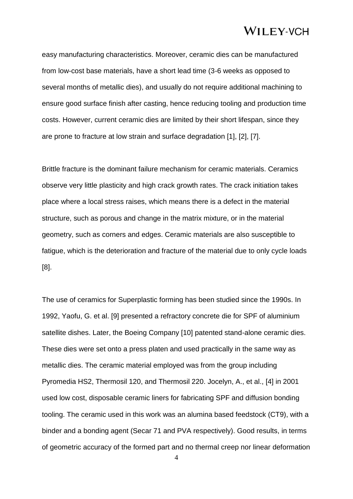easy manufacturing characteristics. Moreover, ceramic dies can be manufactured from low-cost base materials, have a short lead time (3-6 weeks as opposed to several months of metallic dies), and usually do not require additional machining to ensure good surface finish after casting, hence reducing tooling and production time costs. However, current ceramic dies are limited by their short lifespan, since they are prone to fracture at low strain and surface degradation [1], [2], [7].

Brittle fracture is the dominant failure mechanism for ceramic materials. Ceramics observe very little plasticity and high crack growth rates. The crack initiation takes place where a local stress raises, which means there is a defect in the material structure, such as porous and change in the matrix mixture, or in the material geometry, such as corners and edges. Ceramic materials are also susceptible to fatigue, which is the deterioration and fracture of the material due to only cycle loads [8].

The use of ceramics for Superplastic forming has been studied since the 1990s. In 1992, Yaofu, G. et al. [9] presented a refractory concrete die for SPF of aluminium satellite dishes. Later, the Boeing Company [10] patented stand-alone ceramic dies. These dies were set onto a press platen and used practically in the same way as metallic dies. The ceramic material employed was from the group including Pyromedia HS2, Thermosil 120, and Thermosil 220. Jocelyn, A., et al., [4] in 2001 used low cost, disposable ceramic liners for fabricating SPF and diffusion bonding tooling. The ceramic used in this work was an alumina based feedstock (CT9), with a binder and a bonding agent (Secar 71 and PVA respectively). Good results, in terms of geometric accuracy of the formed part and no thermal creep nor linear deformation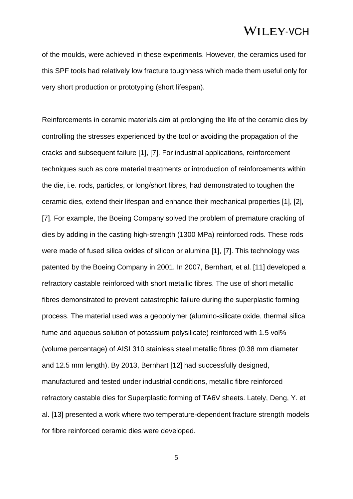of the moulds, were achieved in these experiments. However, the ceramics used for this SPF tools had relatively low fracture toughness which made them useful only for very short production or prototyping (short lifespan).

Reinforcements in ceramic materials aim at prolonging the life of the ceramic dies by controlling the stresses experienced by the tool or avoiding the propagation of the cracks and subsequent failure [1], [7]. For industrial applications, reinforcement techniques such as core material treatments or introduction of reinforcements within the die, i.e. rods, particles, or long/short fibres, had demonstrated to toughen the ceramic dies, extend their lifespan and enhance their mechanical properties [1], [2], [7]. For example, the Boeing Company solved the problem of premature cracking of dies by adding in the casting high-strength (1300 MPa) reinforced rods. These rods were made of fused silica oxides of silicon or alumina [1], [7]. This technology was patented by the Boeing Company in 2001. In 2007, Bernhart, et al. [11] developed a refractory castable reinforced with short metallic fibres. The use of short metallic fibres demonstrated to prevent catastrophic failure during the superplastic forming process. The material used was a geopolymer (alumino-silicate oxide, thermal silica fume and aqueous solution of potassium polysilicate) reinforced with 1.5 vol% (volume percentage) of AISI 310 stainless steel metallic fibres (0.38 mm diameter and 12.5 mm length). By 2013, Bernhart [12] had successfully designed, manufactured and tested under industrial conditions, metallic fibre reinforced refractory castable dies for Superplastic forming of TA6V sheets. Lately, Deng, Y. et al. [13] presented a work where two temperature-dependent fracture strength models for fibre reinforced ceramic dies were developed.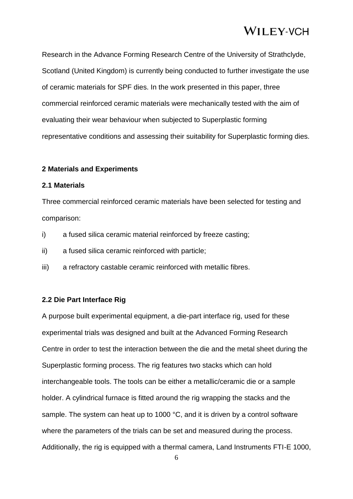Research in the Advance Forming Research Centre of the University of Strathclyde, Scotland (United Kingdom) is currently being conducted to further investigate the use of ceramic materials for SPF dies. In the work presented in this paper, three commercial reinforced ceramic materials were mechanically tested with the aim of evaluating their wear behaviour when subjected to Superplastic forming representative conditions and assessing their suitability for Superplastic forming dies.

### **2 Materials and Experiments**

### **2.1 Materials**

Three commercial reinforced ceramic materials have been selected for testing and comparison:

- i) a fused silica ceramic material reinforced by freeze casting;
- ii) a fused silica ceramic reinforced with particle;
- iii) a refractory castable ceramic reinforced with metallic fibres.

### **2.2 Die Part Interface Rig**

A purpose built experimental equipment, a die-part interface rig, used for these experimental trials was designed and built at the Advanced Forming Research Centre in order to test the interaction between the die and the metal sheet during the Superplastic forming process. The rig features two stacks which can hold interchangeable tools. The tools can be either a metallic/ceramic die or a sample holder. A cylindrical furnace is fitted around the rig wrapping the stacks and the sample. The system can heat up to 1000 °C, and it is driven by a control software where the parameters of the trials can be set and measured during the process. Additionally, the rig is equipped with a thermal camera, Land Instruments FTI-E 1000,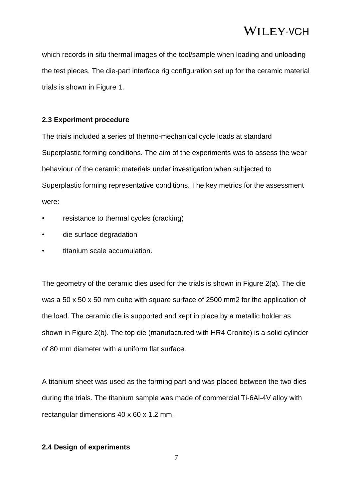which records in situ thermal images of the tool/sample when loading and unloading the test pieces. The die-part interface rig configuration set up for the ceramic material trials is shown in Figure 1.

### **2.3 Experiment procedure**

The trials included a series of thermo-mechanical cycle loads at standard Superplastic forming conditions. The aim of the experiments was to assess the wear behaviour of the ceramic materials under investigation when subjected to Superplastic forming representative conditions. The key metrics for the assessment were:

- resistance to thermal cycles (cracking)
- die surface degradation
- titanium scale accumulation.

The geometry of the ceramic dies used for the trials is shown in Figure 2(a). The die was a 50 x 50 x 50 mm cube with square surface of 2500 mm2 for the application of the load. The ceramic die is supported and kept in place by a metallic holder as shown in Figure 2(b). The top die (manufactured with HR4 Cronite) is a solid cylinder of 80 mm diameter with a uniform flat surface.

A titanium sheet was used as the forming part and was placed between the two dies during the trials. The titanium sample was made of commercial Ti-6Al-4V alloy with rectangular dimensions 40 x 60 x 1.2 mm.

### **2.4 Design of experiments**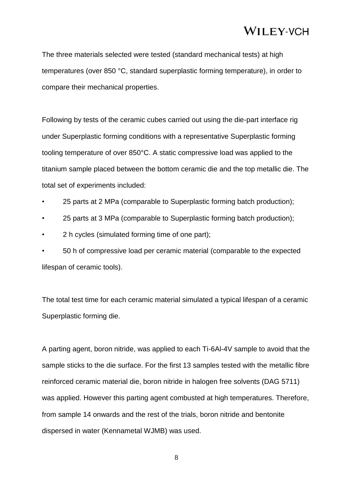The three materials selected were tested (standard mechanical tests) at high temperatures (over 850 °C, standard superplastic forming temperature), in order to compare their mechanical properties.

Following by tests of the ceramic cubes carried out using the die-part interface rig under Superplastic forming conditions with a representative Superplastic forming tooling temperature of over 850°C. A static compressive load was applied to the titanium sample placed between the bottom ceramic die and the top metallic die. The total set of experiments included:

- 25 parts at 2 MPa (comparable to Superplastic forming batch production);
- 25 parts at 3 MPa (comparable to Superplastic forming batch production);
- 2 h cycles (simulated forming time of one part);

• 50 h of compressive load per ceramic material (comparable to the expected lifespan of ceramic tools).

The total test time for each ceramic material simulated a typical lifespan of a ceramic Superplastic forming die.

A parting agent, boron nitride, was applied to each Ti-6Al-4V sample to avoid that the sample sticks to the die surface. For the first 13 samples tested with the metallic fibre reinforced ceramic material die, boron nitride in halogen free solvents (DAG 5711) was applied. However this parting agent combusted at high temperatures. Therefore, from sample 14 onwards and the rest of the trials, boron nitride and bentonite dispersed in water (Kennametal WJMB) was used.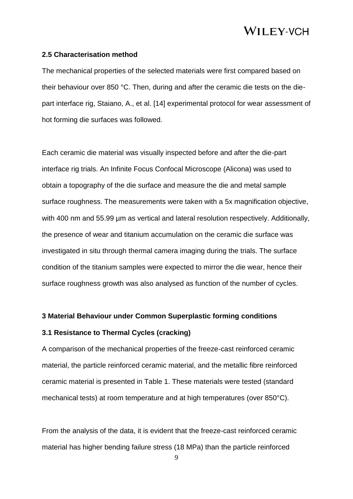#### **2.5 Characterisation method**

The mechanical properties of the selected materials were first compared based on their behaviour over 850 °C. Then, during and after the ceramic die tests on the diepart interface rig, Staiano, A., et al. [14] experimental protocol for wear assessment of hot forming die surfaces was followed.

Each ceramic die material was visually inspected before and after the die-part interface rig trials. An Infinite Focus Confocal Microscope (Alicona) was used to obtain a topography of the die surface and measure the die and metal sample surface roughness. The measurements were taken with a 5x magnification objective, with 400 nm and 55.99 µm as vertical and lateral resolution respectively. Additionally, the presence of wear and titanium accumulation on the ceramic die surface was investigated in situ through thermal camera imaging during the trials. The surface condition of the titanium samples were expected to mirror the die wear, hence their surface roughness growth was also analysed as function of the number of cycles.

#### **3 Material Behaviour under Common Superplastic forming conditions**

### **3.1 Resistance to Thermal Cycles (cracking)**

A comparison of the mechanical properties of the freeze-cast reinforced ceramic material, the particle reinforced ceramic material, and the metallic fibre reinforced ceramic material is presented in Table 1. These materials were tested (standard mechanical tests) at room temperature and at high temperatures (over 850°C).

From the analysis of the data, it is evident that the freeze-cast reinforced ceramic material has higher bending failure stress (18 MPa) than the particle reinforced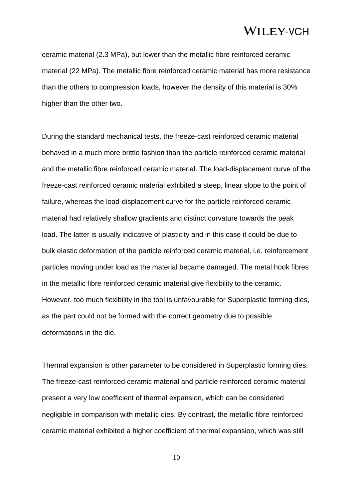ceramic material (2.3 MPa), but lower than the metallic fibre reinforced ceramic material (22 MPa). The metallic fibre reinforced ceramic material has more resistance than the others to compression loads, however the density of this material is 30% higher than the other two.

During the standard mechanical tests, the freeze-cast reinforced ceramic material behaved in a much more brittle fashion than the particle reinforced ceramic material and the metallic fibre reinforced ceramic material. The load-displacement curve of the freeze-cast reinforced ceramic material exhibited a steep, linear slope to the point of failure, whereas the load-displacement curve for the particle reinforced ceramic material had relatively shallow gradients and distinct curvature towards the peak load. The latter is usually indicative of plasticity and in this case it could be due to bulk elastic deformation of the particle reinforced ceramic material, i.e. reinforcement particles moving under load as the material became damaged. The metal hook fibres in the metallic fibre reinforced ceramic material give flexibility to the ceramic. However, too much flexibility in the tool is unfavourable for Superplastic forming dies, as the part could not be formed with the correct geometry due to possible deformations in the die.

Thermal expansion is other parameter to be considered in Superplastic forming dies. The freeze-cast reinforced ceramic material and particle reinforced ceramic material present a very low coefficient of thermal expansion, which can be considered negligible in comparison with metallic dies. By contrast, the metallic fibre reinforced ceramic material exhibited a higher coefficient of thermal expansion, which was still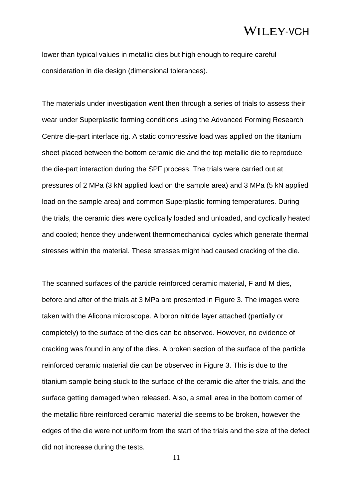lower than typical values in metallic dies but high enough to require careful consideration in die design (dimensional tolerances).

The materials under investigation went then through a series of trials to assess their wear under Superplastic forming conditions using the Advanced Forming Research Centre die-part interface rig. A static compressive load was applied on the titanium sheet placed between the bottom ceramic die and the top metallic die to reproduce the die-part interaction during the SPF process. The trials were carried out at pressures of 2 MPa (3 kN applied load on the sample area) and 3 MPa (5 kN applied load on the sample area) and common Superplastic forming temperatures. During the trials, the ceramic dies were cyclically loaded and unloaded, and cyclically heated and cooled; hence they underwent thermomechanical cycles which generate thermal stresses within the material. These stresses might had caused cracking of the die.

The scanned surfaces of the particle reinforced ceramic material, F and M dies, before and after of the trials at 3 MPa are presented in Figure 3. The images were taken with the Alicona microscope. A boron nitride layer attached (partially or completely) to the surface of the dies can be observed. However, no evidence of cracking was found in any of the dies. A broken section of the surface of the particle reinforced ceramic material die can be observed in Figure 3. This is due to the titanium sample being stuck to the surface of the ceramic die after the trials, and the surface getting damaged when released. Also, a small area in the bottom corner of the metallic fibre reinforced ceramic material die seems to be broken, however the edges of the die were not uniform from the start of the trials and the size of the defect did not increase during the tests.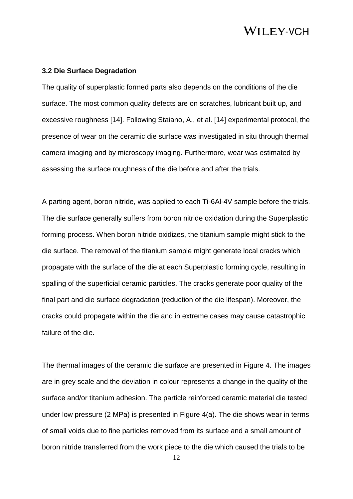### **3.2 Die Surface Degradation**

The quality of superplastic formed parts also depends on the conditions of the die surface. The most common quality defects are on scratches, lubricant built up, and excessive roughness [14]. Following Staiano, A., et al. [14] experimental protocol, the presence of wear on the ceramic die surface was investigated in situ through thermal camera imaging and by microscopy imaging. Furthermore, wear was estimated by assessing the surface roughness of the die before and after the trials.

A parting agent, boron nitride, was applied to each Ti-6Al-4V sample before the trials. The die surface generally suffers from boron nitride oxidation during the Superplastic forming process. When boron nitride oxidizes, the titanium sample might stick to the die surface. The removal of the titanium sample might generate local cracks which propagate with the surface of the die at each Superplastic forming cycle, resulting in spalling of the superficial ceramic particles. The cracks generate poor quality of the final part and die surface degradation (reduction of the die lifespan). Moreover, the cracks could propagate within the die and in extreme cases may cause catastrophic failure of the die.

The thermal images of the ceramic die surface are presented in Figure 4. The images are in grey scale and the deviation in colour represents a change in the quality of the surface and/or titanium adhesion. The particle reinforced ceramic material die tested under low pressure (2 MPa) is presented in Figure 4(a). The die shows wear in terms of small voids due to fine particles removed from its surface and a small amount of boron nitride transferred from the work piece to the die which caused the trials to be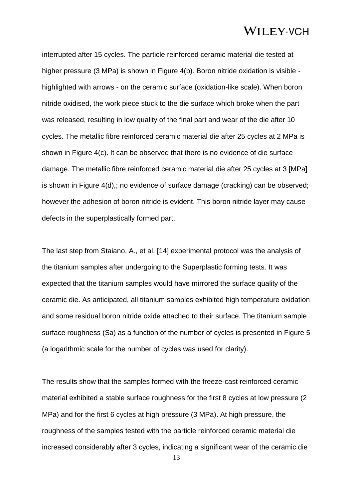interrupted after 15 cycles. The particle reinforced ceramic material die tested at higher pressure (3 MPa) is shown in Figure 4(b). Boron nitride oxidation is visible highlighted with arrows - on the ceramic surface (oxidation-like scale). When boron nitride oxidised, the work piece stuck to the die surface which broke when the part was released, resulting in low quality of the final part and wear of the die after 10 cycles. The metallic fibre reinforced ceramic material die after 25 cycles at 2 MPa is shown in Figure 4(c). It can be observed that there is no evidence of die surface damage. The metallic fibre reinforced ceramic material die after 25 cycles at 3 [MPa] is shown in Figure 4(d),; no evidence of surface damage (cracking) can be observed; however the adhesion of boron nitride is evident. This boron nitride layer may cause defects in the superplastically formed part.

The last step from Staiano, A., et al. [14] experimental protocol was the analysis of the titanium samples after undergoing to the Superplastic forming tests. It was expected that the titanium samples would have mirrored the surface quality of the ceramic die. As anticipated, all titanium samples exhibited high temperature oxidation and some residual boron nitride oxide attached to their surface. The titanium sample surface roughness (Sa) as a function of the number of cycles is presented in Figure 5 (a logarithmic scale for the number of cycles was used for clarity).

The results show that the samples formed with the freeze-cast reinforced ceramic material exhibited a stable surface roughness for the first 8 cycles at low pressure (2 MPa) and for the first 6 cycles at high pressure (3 MPa). At high pressure, the roughness of the samples tested with the particle reinforced ceramic material die increased considerably after 3 cycles, indicating a significant wear of the ceramic die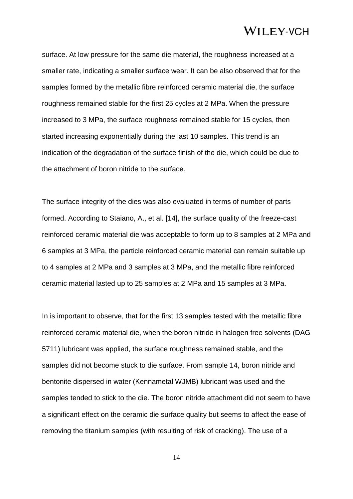surface. At low pressure for the same die material, the roughness increased at a smaller rate, indicating a smaller surface wear. It can be also observed that for the samples formed by the metallic fibre reinforced ceramic material die, the surface roughness remained stable for the first 25 cycles at 2 MPa. When the pressure increased to 3 MPa, the surface roughness remained stable for 15 cycles, then started increasing exponentially during the last 10 samples. This trend is an indication of the degradation of the surface finish of the die, which could be due to the attachment of boron nitride to the surface.

The surface integrity of the dies was also evaluated in terms of number of parts formed. According to Staiano, A., et al. [14], the surface quality of the freeze-cast reinforced ceramic material die was acceptable to form up to 8 samples at 2 MPa and 6 samples at 3 MPa, the particle reinforced ceramic material can remain suitable up to 4 samples at 2 MPa and 3 samples at 3 MPa, and the metallic fibre reinforced ceramic material lasted up to 25 samples at 2 MPa and 15 samples at 3 MPa.

In is important to observe, that for the first 13 samples tested with the metallic fibre reinforced ceramic material die, when the boron nitride in halogen free solvents (DAG 5711) lubricant was applied, the surface roughness remained stable, and the samples did not become stuck to die surface. From sample 14, boron nitride and bentonite dispersed in water (Kennametal WJMB) lubricant was used and the samples tended to stick to the die. The boron nitride attachment did not seem to have a significant effect on the ceramic die surface quality but seems to affect the ease of removing the titanium samples (with resulting of risk of cracking). The use of a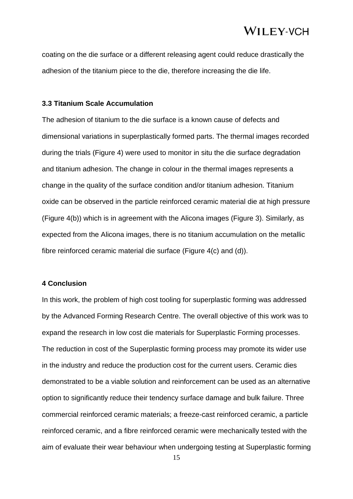coating on the die surface or a different releasing agent could reduce drastically the adhesion of the titanium piece to the die, therefore increasing the die life.

### **3.3 Titanium Scale Accumulation**

The adhesion of titanium to the die surface is a known cause of defects and dimensional variations in superplastically formed parts. The thermal images recorded during the trials (Figure 4) were used to monitor in situ the die surface degradation and titanium adhesion. The change in colour in the thermal images represents a change in the quality of the surface condition and/or titanium adhesion. Titanium oxide can be observed in the particle reinforced ceramic material die at high pressure (Figure 4(b)) which is in agreement with the Alicona images (Figure 3). Similarly, as expected from the Alicona images, there is no titanium accumulation on the metallic fibre reinforced ceramic material die surface (Figure 4(c) and (d)).

### **4 Conclusion**

In this work, the problem of high cost tooling for superplastic forming was addressed by the Advanced Forming Research Centre. The overall objective of this work was to expand the research in low cost die materials for Superplastic Forming processes. The reduction in cost of the Superplastic forming process may promote its wider use in the industry and reduce the production cost for the current users. Ceramic dies demonstrated to be a viable solution and reinforcement can be used as an alternative option to significantly reduce their tendency surface damage and bulk failure. Three commercial reinforced ceramic materials; a freeze-cast reinforced ceramic, a particle reinforced ceramic, and a fibre reinforced ceramic were mechanically tested with the aim of evaluate their wear behaviour when undergoing testing at Superplastic forming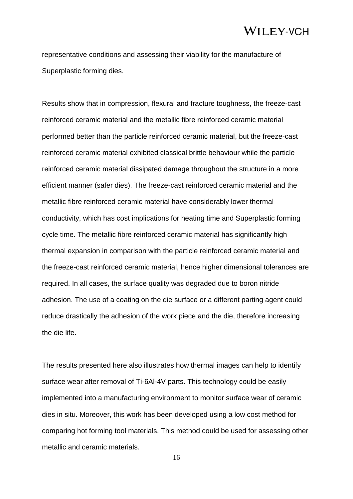representative conditions and assessing their viability for the manufacture of Superplastic forming dies.

Results show that in compression, flexural and fracture toughness, the freeze-cast reinforced ceramic material and the metallic fibre reinforced ceramic material performed better than the particle reinforced ceramic material, but the freeze-cast reinforced ceramic material exhibited classical brittle behaviour while the particle reinforced ceramic material dissipated damage throughout the structure in a more efficient manner (safer dies). The freeze-cast reinforced ceramic material and the metallic fibre reinforced ceramic material have considerably lower thermal conductivity, which has cost implications for heating time and Superplastic forming cycle time. The metallic fibre reinforced ceramic material has significantly high thermal expansion in comparison with the particle reinforced ceramic material and the freeze-cast reinforced ceramic material, hence higher dimensional tolerances are required. In all cases, the surface quality was degraded due to boron nitride adhesion. The use of a coating on the die surface or a different parting agent could reduce drastically the adhesion of the work piece and the die, therefore increasing the die life.

The results presented here also illustrates how thermal images can help to identify surface wear after removal of Ti-6Al-4V parts. This technology could be easily implemented into a manufacturing environment to monitor surface wear of ceramic dies in situ. Moreover, this work has been developed using a low cost method for comparing hot forming tool materials. This method could be used for assessing other metallic and ceramic materials.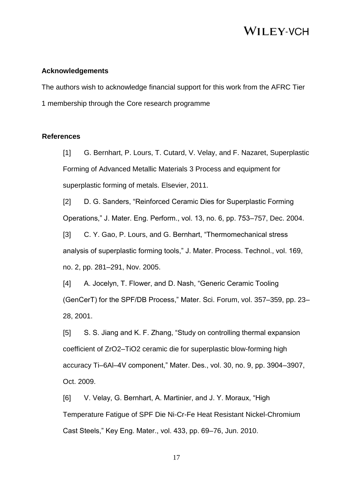### **Acknowledgements**

The authors wish to acknowledge financial support for this work from the AFRC Tier 1 membership through the Core research programme

### **References**

[1] G. Bernhart, P. Lours, T. Cutard, V. Velay, and F. Nazaret, Superplastic Forming of Advanced Metallic Materials 3 Process and equipment for superplastic forming of metals. Elsevier, 2011.

[2] D. G. Sanders, "Reinforced Ceramic Dies for Superplastic Forming Operations," J. Mater. Eng. Perform., vol. 13, no. 6, pp. 753–757, Dec. 2004.

[3] C. Y. Gao, P. Lours, and G. Bernhart, "Thermomechanical stress" analysis of superplastic forming tools," J. Mater. Process. Technol., vol. 169, no. 2, pp. 281–291, Nov. 2005.

[4] A. Jocelyn, T. Flower, and D. Nash, "Generic Ceramic Tooling (GenCerT) for the SPF/DB Process," Mater. Sci. Forum, vol. 357–359, pp. 23– 28, 2001.

[5] S. S. Jiang and K. F. Zhang, "Study on controlling thermal expansion coefficient of ZrO2–TiO2 ceramic die for superplastic blow-forming high accuracy Ti–6Al–4V component," Mater. Des., vol. 30, no. 9, pp. 3904–3907, Oct. 2009.

[6] V. Velay, G. Bernhart, A. Martinier, and J. Y. Moraux, "High Temperature Fatigue of SPF Die Ni-Cr-Fe Heat Resistant Nickel-Chromium Cast Steels," Key Eng. Mater., vol. 433, pp. 69–76, Jun. 2010.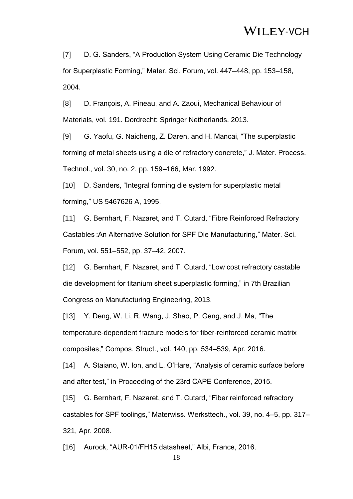[7] D. G. Sanders, "A Production System Using Ceramic Die Technology for Superplastic Forming," Mater. Sci. Forum, vol. 447–448, pp. 153–158, 2004.

[8] D. François, A. Pineau, and A. Zaoui, Mechanical Behaviour of Materials, vol. 191. Dordrecht: Springer Netherlands, 2013.

[9] G. Yaofu, G. Naicheng, Z. Daren, and H. Mancai, "The superplastic forming of metal sheets using a die of refractory concrete," J. Mater. Process. Technol., vol. 30, no. 2, pp. 159–166, Mar. 1992.

[10] D. Sanders, "Integral forming die system for superplastic metal forming," US 5467626 A, 1995.

[11] G. Bernhart, F. Nazaret, and T. Cutard, "Fibre Reinforced Refractory Castables :An Alternative Solution for SPF Die Manufacturing," Mater. Sci. Forum, vol. 551–552, pp. 37–42, 2007.

[12] G. Bernhart, F. Nazaret, and T. Cutard, "Low cost refractory castable die development for titanium sheet superplastic forming," in 7th Brazilian Congress on Manufacturing Engineering, 2013.

[13] Y. Deng, W. Li, R. Wang, J. Shao, P. Geng, and J. Ma, "The temperature-dependent fracture models for fiber-reinforced ceramic matrix composites," Compos. Struct., vol. 140, pp. 534–539, Apr. 2016.

[14] A. Staiano, W. Ion, and L. O'Hare, "Analysis of ceramic surface before and after test," in Proceeding of the 23rd CAPE Conference, 2015.

[15] G. Bernhart, F. Nazaret, and T. Cutard, "Fiber reinforced refractory castables for SPF toolings," Materwiss. Werksttech., vol. 39, no. 4–5, pp. 317– 321, Apr. 2008.

[16] Aurock, "AUR-01/FH15 datasheet," Albi, France, 2016.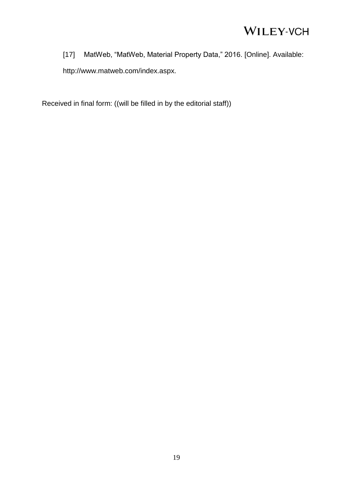[17] MatWeb, "MatWeb, Material Property Data," 2016. [Online]. Available: http://www.matweb.com/index.aspx.

Received in final form: ((will be filled in by the editorial staff))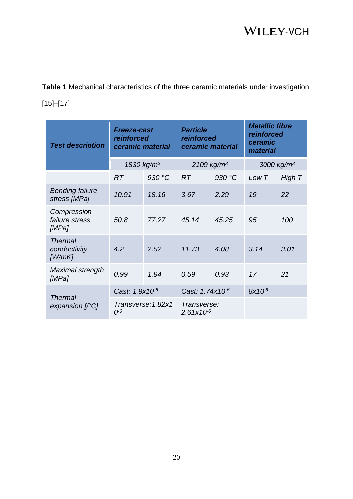**Table 1** Mechanical characteristics of the three ceramic materials under investigation [15]–[17]

| <b>Test description</b>                                                                                                                                                                                                                                                                                                                                                                                                                            | <b>Freeze-cast</b><br>reinforced<br>ceramic material |        | <b>Particle</b><br>reinforced<br>ceramic material |        | <b>Metallic fibre</b><br>reinforced<br>ceramic<br>material |        |
|----------------------------------------------------------------------------------------------------------------------------------------------------------------------------------------------------------------------------------------------------------------------------------------------------------------------------------------------------------------------------------------------------------------------------------------------------|------------------------------------------------------|--------|---------------------------------------------------|--------|------------------------------------------------------------|--------|
|                                                                                                                                                                                                                                                                                                                                                                                                                                                    | 1830 kg/ $m^3$                                       |        | $2109$ kg/m <sup>3</sup>                          |        | 3000 kg/ $m^3$                                             |        |
|                                                                                                                                                                                                                                                                                                                                                                                                                                                    | <b>RT</b>                                            | 930 °C | RT                                                | 930 °C | Low T                                                      | High T |
| <b>Bending failure</b><br>stress [MPa]                                                                                                                                                                                                                                                                                                                                                                                                             | 10.91                                                | 18.16  | 3.67                                              | 2.29   | 19                                                         | 22     |
| Compression<br>failure stress<br>[MPa]                                                                                                                                                                                                                                                                                                                                                                                                             | 50.8                                                 | 77.27  | 45.14                                             | 45.25  | 95                                                         | 100    |
| <b>Thermal</b><br>conductivity<br>[W/mK]                                                                                                                                                                                                                                                                                                                                                                                                           | 4.2                                                  | 2.52   | 11.73                                             | 4.08   | 3.14                                                       | 3.01   |
| Maximal strength<br>[MPa]                                                                                                                                                                                                                                                                                                                                                                                                                          | 0.99                                                 | 1.94   | 0.59                                              | 0.93   | 17                                                         | 21     |
| <b>Thermal</b><br>expansion $\lbrack\! \lbrack\!\lbrack\lbrack\! \lbrack\cdot\lbrack\! \lbrack\cdot\lbrack\! \lbrack\cdot\lbrack\! \lbrack\cdot\lbrack\cdot\lbrack\! \lbrack\cdot\lbrack\cdot\lbrack\cdot\lbrack\cdot\lbrack\cdot\lbrack\cdot\lbrack\cdot\lbrack\cdot\lbrack\cdot\lbrack\cdot\lbrack\cdot\lbrack\cdot\lbrack\cdot\lbrack\cdot\lbrack\cdot\lbrack\cdot\lbrack\cdot\lbrack\cdot\lbrack\cdot\lbrack\cdot\lbrack\cdot\lbrack\cdot\lbr$ | Cast: 1.9x10-6                                       |        | Cast: 1.74x10-6                                   |        | 8x10-6                                                     |        |
|                                                                                                                                                                                                                                                                                                                                                                                                                                                    | Transverse: 1.82x1<br>$0^{-6}$                       |        | Transverse:<br>$2.61x10^{-6}$                     |        |                                                            |        |